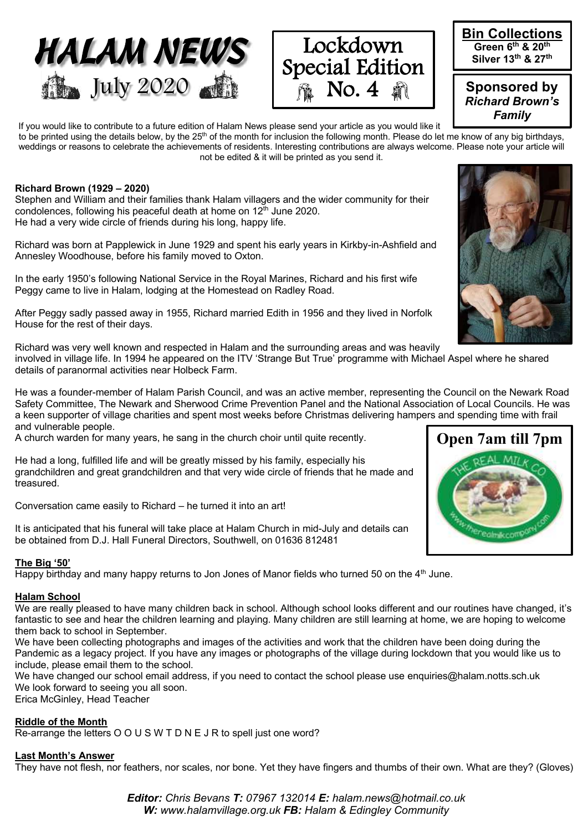





**Sponsored by**  *Richard Brown's Family*

If you would like to contribute to a future edition of Halam News please send your article as you would like it to be printed using the details below, by the 25<sup>th</sup> of the month for inclusion the following month. Please do let me know of any big birthdays, weddings or reasons to celebrate the achievements of residents. Interesting contributions are always welcome. Please note your article will not be edited & it will be printed as you send it.

## **Richard Brown (1929 – 2020)**

Stephen and William and their families thank Halam villagers and the wider community for their condolences, following his peaceful death at home on  $12<sup>th</sup>$  June 2020. He had a very wide circle of friends during his long, happy life.

Richard was born at Papplewick in June 1929 and spent his early years in Kirkby-in-Ashfield and Annesley Woodhouse, before his family moved to Oxton.

In the early 1950's following National Service in the Royal Marines, Richard and his first wife Peggy came to live in Halam, lodging at the Homestead on Radley Road.

After Peggy sadly passed away in 1955, Richard married Edith in 1956 and they lived in Norfolk House for the rest of their days.

Richard was very well known and respected in Halam and the surrounding areas and was heavily involved in village life. In 1994 he appeared on the ITV 'Strange But True' programme with Michael Aspel where he shared details of paranormal activities near Holbeck Farm.

He was a founder-member of Halam Parish Council, and was an active member, representing the Council on the Newark Road Safety Committee, The Newark and Sherwood Crime Prevention Panel and the National Association of Local Councils. He was a keen supporter of village charities and spent most weeks before Christmas delivering hampers and spending time with frail and vulnerable people.

A church warden for many years, he sang in the church choir until quite recently.

He had a long, fulfilled life and will be greatly missed by his family, especially his grandchildren and great grandchildren and that very wide circle of friends that he made and treasured.

Conversation came easily to Richard – he turned it into an art!

It is anticipated that his funeral will take place at Halam Church in mid-July and details can be obtained from D.J. Hall Funeral Directors, Southwell, on 01636 812481

## **The Big '50'**

Happy birthday and many happy returns to Jon Jones of Manor fields who turned 50 on the  $4<sup>th</sup>$  June.

## **Halam School**

We are really pleased to have many children back in school. Although school looks different and our routines have changed, it's fantastic to see and hear the children learning and playing. Many children are still learning at home, we are hoping to welcome them back to school in September.

We have been collecting photographs and images of the activities and work that the children have been doing during the Pandemic as a legacy project. If you have any images or photographs of the village during lockdown that you would like us to include, please email them to the school.

We have changed our school email address, if you need to contact the school please use enquiries@halam.notts.sch.uk We look forward to seeing you all soon.

Erica McGinley, Head Teacher

## **Riddle of the Month**

Re-arrange the letters O O U S W T D N E J R to spell just one word?

## **Last Month's Answer**

They have not flesh, nor feathers, nor scales, nor bone. Yet they have fingers and thumbs of their own. What are they? (Gloves)

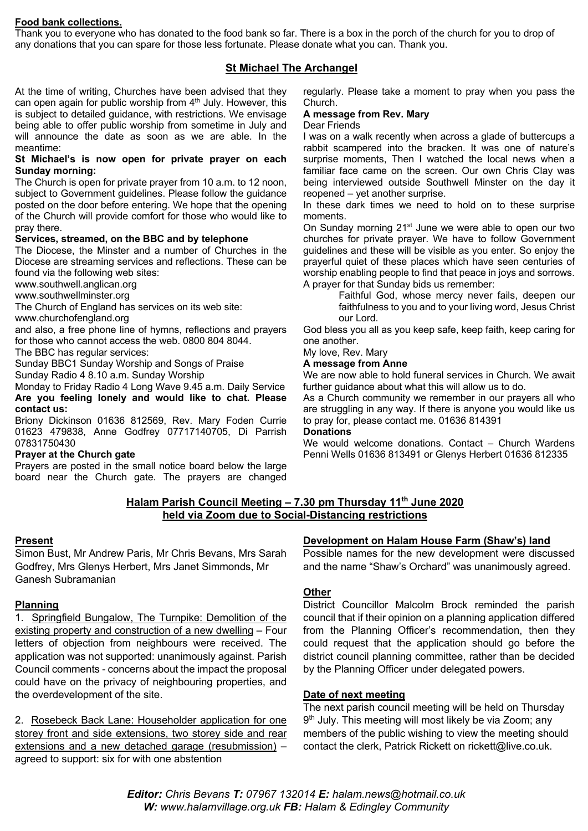## **Food bank collections.**

Thank you to everyone who has donated to the food bank so far. There is a box in the porch of the church for you to drop of any donations that you can spare for those less fortunate. Please donate what you can. Thank you.

## **St Michael The Archangel**

At the time of writing, Churches have been advised that they can open again for public worship from 4<sup>th</sup> July. However, this is subject to detailed guidance, with restrictions. We envisage being able to offer public worship from sometime in July and will announce the date as soon as we are able. In the meantime:

#### **St Michael's is now open for private prayer on each Sunday morning:**

The Church is open for private prayer from 10 a.m. to 12 noon, subject to Government guidelines. Please follow the guidance posted on the door before entering. We hope that the opening of the Church will provide comfort for those who would like to pray there.

## **Services, streamed, on the BBC and by telephone**

The Diocese, the Minster and a number of Churches in the Diocese are streaming services and reflections. These can be found via the following web sites:

www.southwell.anglican.org

www.southwellminster.org

The Church of England has services on its web site:

www.churchofengland.org

and also, a free phone line of hymns, reflections and prayers for those who cannot access the web. 0800 804 8044.

The BBC has regular services:

Sunday BBC1 Sunday Worship and Songs of Praise

Sunday Radio 4 8.10 a.m. Sunday Worship

Monday to Friday Radio 4 Long Wave 9.45 a.m. Daily Service **Are you feeling lonely and would like to chat. Please contact us:**

Briony Dickinson 01636 812569, Rev. Mary Foden Currie 01623 479838, Anne Godfrey 07717140705, Di Parrish 07831750430

## **Prayer at the Church gate**

Prayers are posted in the small notice board below the large board near the Church gate. The prayers are changed regularly. Please take a moment to pray when you pass the Church.

## **A message from Rev. Mary**

## Dear Friends

I was on a walk recently when across a glade of buttercups a rabbit scampered into the bracken. It was one of nature's surprise moments, Then I watched the local news when a familiar face came on the screen. Our own Chris Clay was being interviewed outside Southwell Minster on the day it reopened – yet another surprise.

In these dark times we need to hold on to these surprise moments.

On Sunday morning 21<sup>st</sup> June we were able to open our two churches for private prayer. We have to follow Government guidelines and these will be visible as you enter. So enjoy the prayerful quiet of these places which have seen centuries of worship enabling people to find that peace in joys and sorrows. A prayer for that Sunday bids us remember:

Faithful God, whose mercy never fails, deepen our faithfulness to you and to your living word, Jesus Christ our Lord.

God bless you all as you keep safe, keep faith, keep caring for one another.

## My love, Rev. Mary

#### **A message from Anne**

We are now able to hold funeral services in Church. We await further guidance about what this will allow us to do.

As a Church community we remember in our prayers all who are struggling in any way. If there is anyone you would like us to pray for, please contact me. 01636 814391 **Donations**

We would welcome donations. Contact – Church Wardens Penni Wells 01636 813491 or Glenys Herbert 01636 812335

## **Halam Parish Council Meeting – 7.30 pm Thursday 11th June 2020 held via Zoom due to Social-Distancing restrictions**

## **Present**

Simon Bust, Mr Andrew Paris, Mr Chris Bevans, Mrs Sarah Godfrey, Mrs Glenys Herbert, Mrs Janet Simmonds, Mr Ganesh Subramanian

## **Planning**

1. Springfield Bungalow, The Turnpike: Demolition of the existing property and construction of a new dwelling – Four letters of objection from neighbours were received. The application was not supported: unanimously against. Parish Council comments - concerns about the impact the proposal could have on the privacy of neighbouring properties, and the overdevelopment of the site.

2. Rosebeck Back Lane: Householder application for one storey front and side extensions, two storey side and rear extensions and a new detached garage (resubmission) – agreed to support: six for with one abstention

## **Development on Halam House Farm (Shaw's) land**

Possible names for the new development were discussed and the name "Shaw's Orchard" was unanimously agreed.

## **Other**

District Councillor Malcolm Brock reminded the parish council that if their opinion on a planning application differed from the Planning Officer's recommendation, then they could request that the application should go before the district council planning committee, rather than be decided by the Planning Officer under delegated powers.

## **Date of next meeting**

The next parish council meeting will be held on Thursday 9<sup>th</sup> July. This meeting will most likely be via Zoom; any members of the public wishing to view the meeting should contact the clerk, Patrick Rickett on rickett@live.co.uk.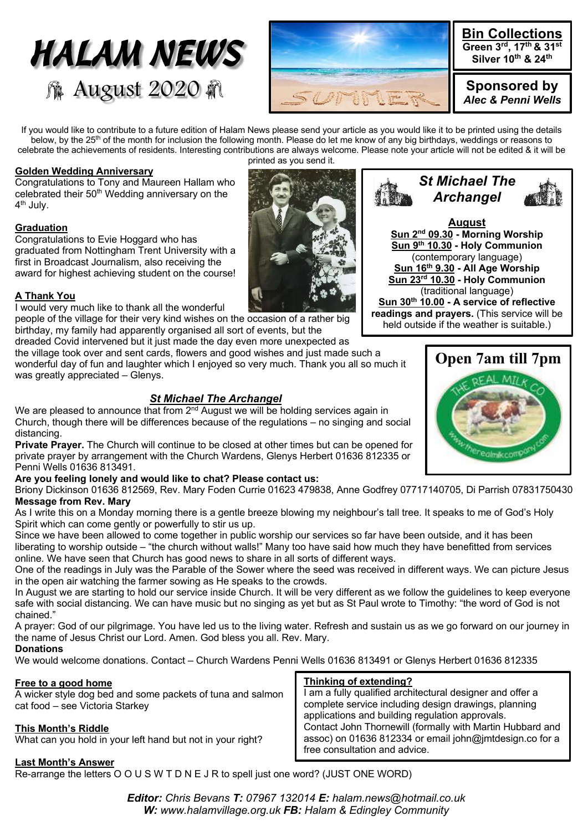# *HALAM NEWS* **像 August 2020 @**



If you would like to contribute to a future edition of Halam News please send your article as you would like it to be printed using the details below, by the 25<sup>th</sup> of the month for inclusion the following month. Please do let me know of any big birthdays, weddings or reasons to celebrate the achievements of residents. Interesting contributions are always welcome. Please note your article will not be edited & it will be printed as you send it.

## **Golden Wedding Anniversary**

Congratulations to Tony and Maureen Hallam who celebrated their 50<sup>th</sup> Wedding anniversary on the 4th July.

## **Graduation**

Congratulations to Evie Hoggard who has graduated from Nottingham Trent University with a first in Broadcast Journalism, also receiving the award for highest achieving student on the course!

## **A Thank You**

I would very much like to thank all the wonderful

people of the village for their very kind wishes on the occasion of a rather big birthday, my family had apparently organised all sort of events, but the dreaded Covid intervened but it just made the day even more unexpected as

the village took over and sent cards, flowers and good wishes and just made such a wonderful day of fun and laughter which I enjoyed so very much. Thank you all so much it was greatly appreciated – Glenys.

## *St Michael The Archangel*

We are pleased to announce that from 2<sup>nd</sup> August we will be holding services again in Church, though there will be differences because of the regulations – no singing and social distancing.

**Private Prayer.** The Church will continue to be closed at other times but can be opened for private prayer by arrangement with the Church Wardens, Glenys Herbert 01636 812335 or Penni Wells 01636 813491.

## **Are you feeling lonely and would like to chat? Please contact us:**

Briony Dickinson 01636 812569, Rev. Mary Foden Currie 01623 479838, Anne Godfrey 07717140705, Di Parrish 07831750430 **Message from Rev. Mary**

As I write this on a Monday morning there is a gentle breeze blowing my neighbour's tall tree. It speaks to me of God's Holy Spirit which can come gently or powerfully to stir us up.

Since we have been allowed to come together in public worship our services so far have been outside, and it has been liberating to worship outside – "the church without walls!" Many too have said how much they have benefitted from services online. We have seen that Church has good news to share in all sorts of different ways.

One of the readings in July was the Parable of the Sower where the seed was received in different ways. We can picture Jesus in the open air watching the farmer sowing as He speaks to the crowds.

In August we are starting to hold our service inside Church. It will be very different as we follow the guidelines to keep everyone safe with social distancing. We can have music but no singing as yet but as St Paul wrote to Timothy: "the word of God is not chained."

A prayer: God of our pilgrimage. You have led us to the living water. Refresh and sustain us as we go forward on our journey in the name of Jesus Christ our Lord. Amen. God bless you all. Rev. Mary.

## **Donations**

We would welcome donations. Contact – Church Wardens Penni Wells 01636 813491 or Glenys Herbert 01636 812335

## **Free to a good home**

A wicker style dog bed and some packets of tuna and salmon cat food – see Victoria Starkey

## **This Month's Riddle**

What can you hold in your left hand but not in your right?

## **Thinking of extending?**

I am a fully qualified architectural designer and offer a complete service including design drawings, planning applications and building regulation approvals. Contact John Thornewill (formally with Martin Hubbard and assoc) on 01636 812334 or email john@jmtdesign.co for a free consultation and advice.

## **Last Month's Answer**

Re-arrange the letters O O U S W T D N E J R to spell just one word? (JUST ONE WORD)

*Editor: Chris Bevans T: 07967 132014 E: halam.news@hotmail.co.uk W: www.halamvillage.org.uk FB: Halam & Edingley Community*





**August Sun 2nd 09.30 - Morning Worship Sun 9th 10.30 - Holy Communion** (contemporary language) **Sun 16th 9.30 - All Age Worship Sun 23rd 10.30 - Holy Communion**

(traditional language) **Sun 30th 10.00 - A service of reflective readings and prayers.** (This service will be held outside if the weather is suitable.)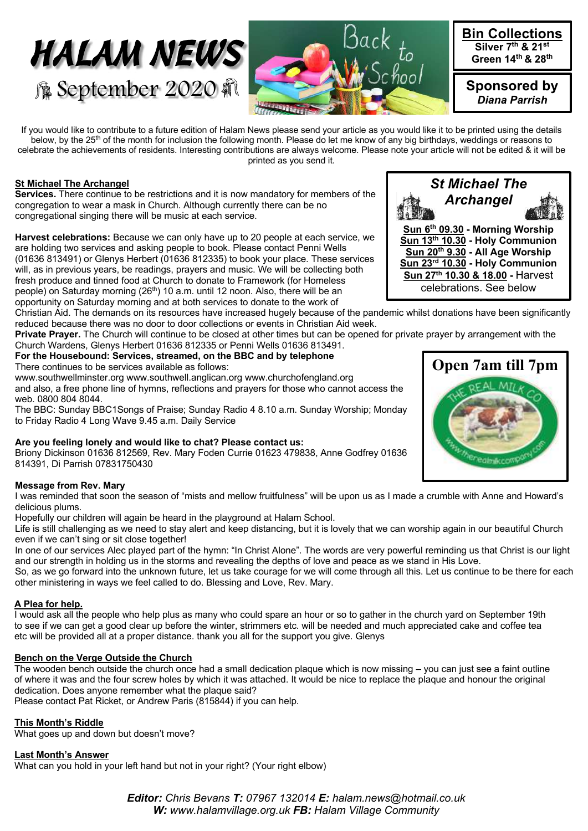



If you would like to contribute to a future edition of Halam News please send your article as you would like it to be printed using the details below, by the 25<sup>th</sup> of the month for inclusion the following month. Please do let me know of any big birthdays, weddings or reasons to celebrate the achievements of residents. Interesting contributions are always welcome. Please note your article will not be edited & it will be printed as you send it.

## **St Michael The Archangel**

**Services.** There continue to be restrictions and it is now mandatory for members of the congregation to wear a mask in Church. Although currently there can be no congregational singing there will be music at each service.

**Harvest celebrations:** Because we can only have up to 20 people at each service, we are holding two services and asking people to book. Please contact Penni Wells (01636 813491) or Glenys Herbert (01636 812335) to book your place. These services will, as in previous years, be readings, prayers and music. We will be collecting both fresh produce and tinned food at Church to donate to Framework (for Homeless people) on Saturday morning (26<sup>th</sup>) 10 a.m. until 12 noon. Also, there will be an opportunity on Saturday morning and at both services to donate to the work of

Christian Aid. The demands on its resources have increased hugely because of the pandemic whilst donations have been significantly reduced because there was no door to door collections or events in Christian Aid week.

**Private Prayer.** The Church will continue to be closed at other times but can be opened for private prayer by arrangement with the Church Wardens, Glenys Herbert 01636 812335 or Penni Wells 01636 813491.

**For the Housebound: Services, streamed, on the BBC and by telephone** There continues to be services available as follows:

www.southwellminster.org www.southwell.anglican.org www.churchofengland.org and also, a free phone line of hymns, reflections and prayers for those who cannot access the web. 0800 804 8044.

The BBC: Sunday BBC1Songs of Praise; Sunday Radio 4 8.10 a.m. Sunday Worship; Monday to Friday Radio 4 Long Wave 9.45 a.m. Daily Service

## **Are you feeling lonely and would like to chat? Please contact us:**

Briony Dickinson 01636 812569, Rev. Mary Foden Currie 01623 479838, Anne Godfrey 01636 814391, Di Parrish 07831750430

## **Message from Rev. Mary**

I was reminded that soon the season of "mists and mellow fruitfulness" will be upon us as I made a crumble with Anne and Howard's delicious plums.

Hopefully our children will again be heard in the playground at Halam School.

Life is still challenging as we need to stay alert and keep distancing, but it is lovely that we can worship again in our beautiful Church even if we can't sing or sit close together!

In one of our services Alec played part of the hymn: "In Christ Alone". The words are very powerful reminding us that Christ is our light and our strength in holding us in the storms and revealing the depths of love and peace as we stand in His Love.

So, as we go forward into the unknown future, let us take courage for we will come through all this. Let us continue to be there for each other ministering in ways we feel called to do. Blessing and Love, Rev. Mary.

## **A Plea for help.**

I would ask all the people who help plus as many who could spare an hour or so to gather in the church yard on September 19th to see if we can get a good clear up before the winter, strimmers etc. will be needed and much appreciated cake and coffee tea etc will be provided all at a proper distance. thank you all for the support you give. Glenys

## **Bench on the Verge Outside the Church**

The wooden bench outside the church once had a small dedication plaque which is now missing – you can just see a faint outline of where it was and the four screw holes by which it was attached. It would be nice to replace the plaque and honour the original dedication. Does anyone remember what the plaque said?

Please contact Pat Ricket, or Andrew Paris (815844) if you can help.

## **This Month's Riddle**

What goes up and down but doesn't move?

**Last Month's Answer** 

What can you hold in your left hand but not in your right? (Your right elbow)

**Open 7am till 7pm**

*Editor: Chris Bevans T: 07967 132014 E: halam.news@hotmail.co.uk W: www.halamvillage.org.uk FB: Halam Village Community*



**Sun 6th 09.30 - Morning Worship**

*St Michael The Archangel*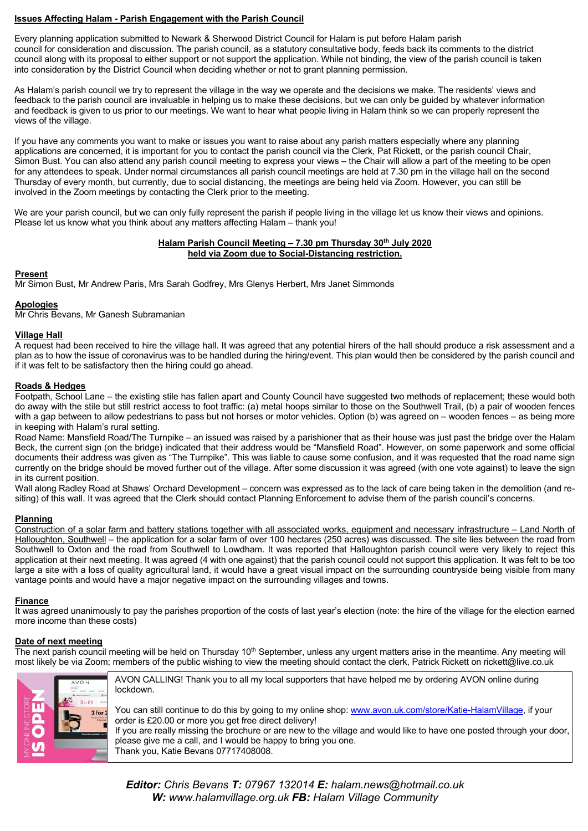## **Issues Affecting Halam - Parish Engagement with the Parish Council**

Every planning application submitted to Newark & Sherwood District Council for Halam is put before Halam parish council for consideration and discussion. The parish council, as a statutory consultative body, feeds back its comments to the district council along with its proposal to either support or not support the application. While not binding, the view of the parish council is taken into consideration by the District Council when deciding whether or not to grant planning permission.

As Halam's parish council we try to represent the village in the way we operate and the decisions we make. The residents' views and feedback to the parish council are invaluable in helping us to make these decisions, but we can only be guided by whatever information and feedback is given to us prior to our meetings. We want to hear what people living in Halam think so we can properly represent the views of the village.

If you have any comments you want to make or issues you want to raise about any parish matters especially where any planning applications are concerned, it is important for you to contact the parish council via the Clerk, Pat Rickett, or the parish council Chair, Simon Bust. You can also attend any parish council meeting to express your views – the Chair will allow a part of the meeting to be open for any attendees to speak. Under normal circumstances all parish council meetings are held at 7.30 pm in the village hall on the second Thursday of every month, but currently, due to social distancing, the meetings are being held via Zoom. However, you can still be involved in the Zoom meetings by contacting the Clerk prior to the meeting.

We are your parish council, but we can only fully represent the parish if people living in the village let us know their views and opinions. Please let us know what you think about any matters affecting Halam – thank you!

#### **Halam Parish Council Meeting - 7.30 pm Thursday 30th July 2020 held via Zoom due to Social-Distancing restriction.**

#### **Present**

Mr Simon Bust, Mr Andrew Paris, Mrs Sarah Godfrey, Mrs Glenys Herbert, Mrs Janet Simmonds

## **Apologies**

Mr Chris Bevans, Mr Ganesh Subramanian

#### **Village Hall**

A request had been received to hire the village hall. It was agreed that any potential hirers of the hall should produce a risk assessment and a plan as to how the issue of coronavirus was to be handled during the hiring/event. This plan would then be considered by the parish council and if it was felt to be satisfactory then the hiring could go ahead.

## **Roads & Hedges**

Footpath, School Lane – the existing stile has fallen apart and County Council have suggested two methods of replacement; these would both do away with the stile but still restrict access to foot traffic: (a) metal hoops similar to those on the Southwell Trail, (b) a pair of wooden fences with a gap between to allow pedestrians to pass but not horses or motor vehicles. Option (b) was agreed on – wooden fences – as being more in keeping with Halam's rural setting.

Road Name: Mansfield Road/The Turnpike – an issued was raised by a parishioner that as their house was just past the bridge over the Halam Beck, the current sign (on the bridge) indicated that their address would be "Mansfield Road". However, on some paperwork and some official documents their address was given as "The Turnpike". This was liable to cause some confusion, and it was requested that the road name sign currently on the bridge should be moved further out of the village. After some discussion it was agreed (with one vote against) to leave the sign in its current position.

Wall along Radley Road at Shaws' Orchard Development – concern was expressed as to the lack of care being taken in the demolition (and resiting) of this wall. It was agreed that the Clerk should contact Planning Enforcement to advise them of the parish council's concerns.

#### **Planning**

Construction of a solar farm and battery stations together with all associated works, equipment and necessary infrastructure – Land North of Halloughton, Southwell – the application for a solar farm of over 100 hectares (250 acres) was discussed. The site lies between the road from Southwell to Oxton and the road from Southwell to Lowdham. It was reported that Halloughton parish council were very likely to reject this application at their next meeting. It was agreed (4 with one against) that the parish council could not support this application. It was felt to be too large a site with a loss of quality agricultural land, it would have a great visual impact on the surrounding countryside being visible from many vantage points and would have a major negative impact on the surrounding villages and towns.

#### **Finance**

It was agreed unanimously to pay the parishes proportion of the costs of last year's election (note: the hire of the village for the election earned more income than these costs)

#### **Date of next meeting**

The next parish council meeting will be held on Thursday 10<sup>th</sup> September, unless any urgent matters arise in the meantime. Any meeting will most likely be via Zoom; members of the public wishing to view the meeting should contact the clerk, Patrick Rickett on rickett@live.co.uk



AVON CALLING! Thank you to all my local supporters that have helped me by ordering AVON online during lockdown.

You can still continue to do this by going to my online shop: www.avon.uk.com/store/Katie-HalamVillage, if your order is £20.00 or more you get free direct delivery! If you are really missing the brochure or are new to the village and would like to have one posted through your door, please give me a call, and I would be happy to bring you one. Thank you, Katie Bevans 07717408008.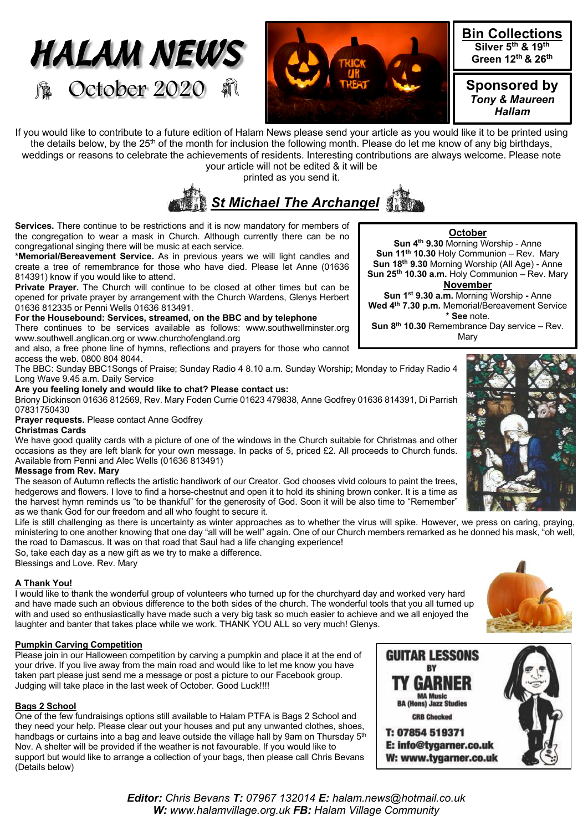



If you would like to contribute to a future edition of Halam News please send your article as you would like it to be printed using the details below, by the 25<sup>th</sup> of the month for inclusion the following month. Please do let me know of any big birthdays, weddings or reasons to celebrate the achievements of residents. Interesting contributions are always welcome. Please note

your article will not be edited & it will be printed as you send it.

# *St Michael The Archangel*

**Services.** There continue to be restrictions and it is now mandatory for members of the congregation to wear a mask in Church. Although currently there can be no congregational singing there will be music at each service.

**\*Memorial/Bereavement Service.** As in previous years we will light candles and create a tree of remembrance for those who have died. Please let Anne (01636 814391) know if you would like to attend.

**Private Prayer.** The Church will continue to be closed at other times but can be opened for private prayer by arrangement with the Church Wardens, Glenys Herbert 01636 812335 or Penni Wells 01636 813491.

## **For the Housebound: Services, streamed, on the BBC and by telephone**

There continues to be services available as follows: www.southwellminster.org www.southwell.anglican.org or www.churchofengland.org

and also, a free phone line of hymns, reflections and prayers for those who cannot access the web. 0800 804 8044.

The BBC: Sunday BBC1Songs of Praise; Sunday Radio 4 8.10 a.m. Sunday Worship; Monday to Friday Radio 4 Long Wave 9.45 a.m. Daily Service

## **Are you feeling lonely and would like to chat? Please contact us:**

Briony Dickinson 01636 812569, Rev. Mary Foden Currie 01623 479838, Anne Godfrey 01636 814391, Di Parrish 07831750430

**Prayer requests.** Please contact Anne Godfrey

#### **Christmas Cards**

We have good quality cards with a picture of one of the windows in the Church suitable for Christmas and other occasions as they are left blank for your own message. In packs of 5, priced £2. All proceeds to Church funds. Available from Penni and Alec Wells (01636 813491)

## **Message from Rev. Mary**

The season of Autumn reflects the artistic handiwork of our Creator. God chooses vivid colours to paint the trees, hedgerows and flowers. I love to find a horse-chestnut and open it to hold its shining brown conker. It is a time as the harvest hymn reminds us "to be thankful" for the generosity of God. Soon it will be also time to "Remember" as we thank God for our freedom and all who fought to secure it.

Life is still challenging as there is uncertainty as winter approaches as to whether the virus will spike. However, we press on caring, praying, ministering to one another knowing that one day "all will be well" again. One of our Church members remarked as he donned his mask, "oh well, the road to Damascus. It was on that road that Saul had a life changing experience!

So, take each day as a new gift as we try to make a difference. Blessings and Love. Rev. Mary

## **A Thank You!**

I would like to thank the wonderful group of volunteers who turned up for the churchyard day and worked very hard and have made such an obvious difference to the both sides of the church. The wonderful tools that you all turned up with and used so enthusiastically have made such a very big task so much easier to achieve and we all enjoyed the laughter and banter that takes place while we work. THANK YOU ALL so very much! Glenys.

## **Pumpkin Carving Competition**

Please join in our Halloween competition by carving a pumpkin and place it at the end of your drive. If you live away from the main road and would like to let me know you have taken part please just send me a message or post a picture to our Facebook group. Judging will take place in the last week of October. Good Luck!!!!

## **Bags 2 School**

One of the few fundraisings options still available to Halam PTFA is Bags 2 School and they need your help. Please clear out your houses and put any unwanted clothes, shoes, handbags or curtains into a bag and leave outside the village hall by 9am on Thursday  $5<sup>th</sup>$ Nov. A shelter will be provided if the weather is not favourable. If you would like to support but would like to arrange a collection of your bags, then please call Chris Bevans (Details below)

**October**

**Sun 4th 9.30** Morning Worship - Anne **Sun 11th 10.30** Holy Communion – Rev. Mary **Sun 18th 9.30** Morning Worship (All Age) - Anne **Sun 25th 10.30 a.m.** Holy Communion – Rev. Mary

## **November**

**Sun 1st 9.30 a.m.** Morning Worship **-** Anne **Wed 4th 7.30 p.m.** Memorial/Bereavement Service **\* See** note.

**Sun 8th 10.30** Remembrance Day service – Rev. **Mary** 







T: 07854 519371 E: info@tvgarner.co.uk W: www.tygarner.co.uk

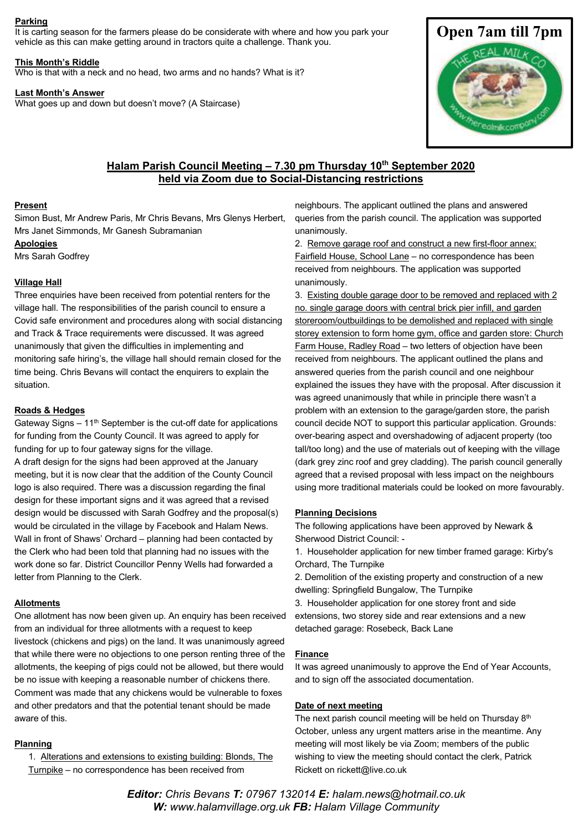#### **Parking**

It is carting season for the farmers please do be considerate with where and how you park your vehicle as this can make getting around in tractors quite a challenge. Thank you.

#### **This Month's Riddle**

Who is that with a neck and no head, two arms and no hands? What is it?

#### **Last Month's Answer**

What goes up and down but doesn't move? (A Staircase)



## **Halam Parish Council Meeting – 7.30 pm Thursday 10th September 2020 held via Zoom due to Social-Distancing restrictions**

#### **Present**

Simon Bust, Mr Andrew Paris, Mr Chris Bevans, Mrs Glenys Herbert, Mrs Janet Simmonds, Mr Ganesh Subramanian

**Apologies**

Mrs Sarah Godfrey

#### **Village Hall**

Three enquiries have been received from potential renters for the village hall. The responsibilities of the parish council to ensure a Covid safe environment and procedures along with social distancing and Track & Trace requirements were discussed. It was agreed unanimously that given the difficulties in implementing and monitoring safe hiring's, the village hall should remain closed for the time being. Chris Bevans will contact the enquirers to explain the situation.

#### **Roads & Hedges**

Gateway Signs  $-11<sup>th</sup>$  September is the cut-off date for applications for funding from the County Council. It was agreed to apply for funding for up to four gateway signs for the village. A draft design for the signs had been approved at the January meeting, but it is now clear that the addition of the County Council logo is also required. There was a discussion regarding the final design for these important signs and it was agreed that a revised design would be discussed with Sarah Godfrey and the proposal(s) would be circulated in the village by Facebook and Halam News. Wall in front of Shaws' Orchard – planning had been contacted by the Clerk who had been told that planning had no issues with the

work done so far. District Councillor Penny Wells had forwarded a letter from Planning to the Clerk.

#### **Allotments**

One allotment has now been given up. An enquiry has been received from an individual for three allotments with a request to keep livestock (chickens and pigs) on the land. It was unanimously agreed that while there were no objections to one person renting three of the allotments, the keeping of pigs could not be allowed, but there would be no issue with keeping a reasonable number of chickens there. Comment was made that any chickens would be vulnerable to foxes and other predators and that the potential tenant should be made aware of this.

#### **Planning**

1. Alterations and extensions to existing building: Blonds, The Turnpike – no correspondence has been received from

neighbours. The applicant outlined the plans and answered queries from the parish council. The application was supported unanimously.

2. Remove garage roof and construct a new first-floor annex: Fairfield House, School Lane – no correspondence has been received from neighbours. The application was supported unanimously.

3. Existing double garage door to be removed and replaced with 2 no. single garage doors with central brick pier infill, and garden storeroom/outbuildings to be demolished and replaced with single storey extension to form home gym, office and garden store: Church Farm House, Radley Road - two letters of objection have been received from neighbours. The applicant outlined the plans and answered queries from the parish council and one neighbour explained the issues they have with the proposal. After discussion it was agreed unanimously that while in principle there wasn't a problem with an extension to the garage/garden store, the parish council decide NOT to support this particular application. Grounds: over-bearing aspect and overshadowing of adjacent property (too tall/too long) and the use of materials out of keeping with the village (dark grey zinc roof and grey cladding). The parish council generally agreed that a revised proposal with less impact on the neighbours using more traditional materials could be looked on more favourably.

#### **Planning Decisions**

The following applications have been approved by Newark & Sherwood District Council: -

1. Householder application for new timber framed garage: Kirby's Orchard, The Turnpike

2. Demolition of the existing property and construction of a new dwelling: Springfield Bungalow, The Turnpike

3. Householder application for one storey front and side extensions, two storey side and rear extensions and a new detached garage: Rosebeck, Back Lane

#### **Finance**

It was agreed unanimously to approve the End of Year Accounts, and to sign off the associated documentation.

#### **Date of next meeting**

The next parish council meeting will be held on Thursday 8<sup>th</sup> October, unless any urgent matters arise in the meantime. Any meeting will most likely be via Zoom; members of the public wishing to view the meeting should contact the clerk, Patrick Rickett on rickett@live.co.uk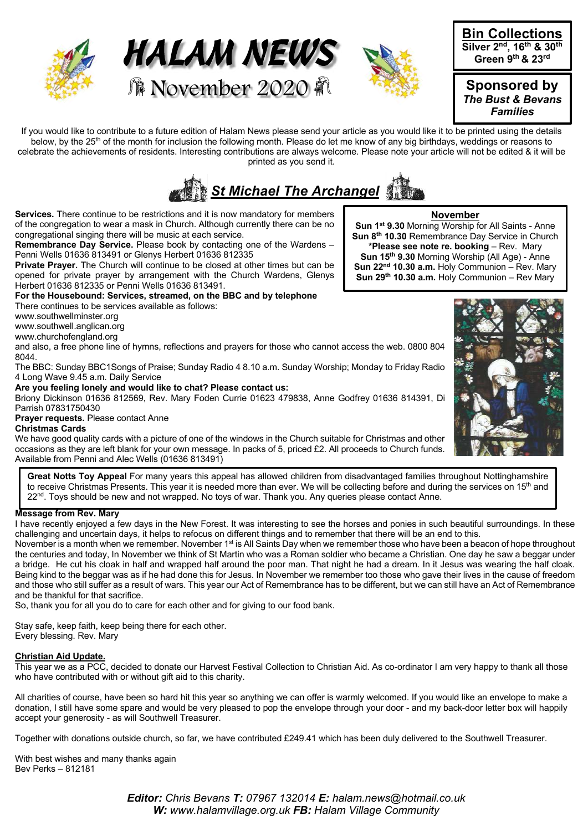





**Bin Collections Silver 2nd, 16th & 30th Green 9th & 23rd** 

**Sponsored by**  *The Bust & Bevans Families*

If you would like to contribute to a future edition of Halam News please send your article as you would like it to be printed using the details below, by the 25<sup>th</sup> of the month for inclusion the following month. Please do let me know of any big birthdays, weddings or reasons to celebrate the achievements of residents. Interesting contributions are always welcome. Please note your article will not be edited & it will be printed as you send it.



**Services.** There continue to be restrictions and it is now mandatory for members of the congregation to wear a mask in Church. Although currently there can be no congregational singing there will be music at each service.

**Remembrance Day Service.** Please book by contacting one of the Wardens – Penni Wells 01636 813491 or Glenys Herbert 01636 812335

**Private Prayer.** The Church will continue to be closed at other times but can be opened for private prayer by arrangement with the Church Wardens, Glenys Herbert 01636 812335 or Penni Wells 01636 813491.

**For the Housebound: Services, streamed, on the BBC and by telephone**

There continues to be services available as follows:

www.southwellminster.org

www.southwell.anglican.org

www.churchofengland.org

and also, a free phone line of hymns, reflections and prayers for those who cannot access the web. 0800 804 8044.

The BBC: Sunday BBC1Songs of Praise; Sunday Radio 4 8.10 a.m. Sunday Worship; Monday to Friday Radio 4 Long Wave 9.45 a.m. Daily Service

#### **Are you feeling lonely and would like to chat? Please contact us:**

Briony Dickinson 01636 812569, Rev. Mary Foden Currie 01623 479838, Anne Godfrey 01636 814391, Di Parrish 07831750430

#### **Prayer requests.** Please contact Anne **Christmas Cards**

We have good quality cards with a picture of one of the windows in the Church suitable for Christmas and other occasions as they are left blank for your own message. In packs of 5, priced £2. All proceeds to Church funds. Available from Penni and Alec Wells (01636 813491)

**Great Notts Toy Appeal** For many years this appeal has allowed children from disadvantaged families throughout Nottinghamshire to receive Christmas Presents. This year it is needed more than ever. We will be collecting before and during the services on 15<sup>th</sup> and 22<sup>nd</sup>. Toys should be new and not wrapped. No toys of war. Thank you. Any queries please contact Anne.

## **Message from Rev. Mary**

I have recently enjoyed a few days in the New Forest. It was interesting to see the horses and ponies in such beautiful surroundings. In these challenging and uncertain days, it helps to refocus on different things and to remember that there will be an end to this.

November is a month when we remember. November 1<sup>st</sup> is All Saints Day when we remember those who have been a beacon of hope throughout the centuries and today, In November we think of St Martin who was a Roman soldier who became a Christian. One day he saw a beggar under a bridge. He cut his cloak in half and wrapped half around the poor man. That night he had a dream. In it Jesus was wearing the half cloak. Being kind to the beggar was as if he had done this for Jesus. In November we remember too those who gave their lives in the cause of freedom and those who still suffer as a result of wars. This year our Act of Remembrance has to be different, but we can still have an Act of Remembrance and be thankful for that sacrifice.

So, thank you for all you do to care for each other and for giving to our food bank.

Stay safe, keep faith, keep being there for each other. Every blessing. Rev. Mary

## **Christian Aid Update.**

This year we as a PCC, decided to donate our Harvest Festival Collection to Christian Aid. As co-ordinator I am very happy to thank all those who have contributed with or without gift aid to this charity.

All charities of course, have been so hard hit this year so anything we can offer is warmly welcomed. If you would like an envelope to make a donation, I still have some spare and would be very pleased to pop the envelope through your door - and my back-door letter box will happily accept your generosity - as will Southwell Treasurer.

Together with donations outside church, so far, we have contributed £249.41 which has been duly delivered to the Southwell Treasurer.

With best wishes and many thanks again Bev Perks – 812181

**November Sun 1st 9.30** Morning Worship for All Saints - Anne **Sun 8th 10.30** Remembrance Day Service in Church **\*Please see note re. booking** – Rev. Mary **Sun 15th 9.30** Morning Worship (All Age) - Anne **Sun 22nd 10.30 a.m.** Holy Communion – Rev. Mary **Sun 29th 10.30 a.m.** Holy Communion – Rev Mary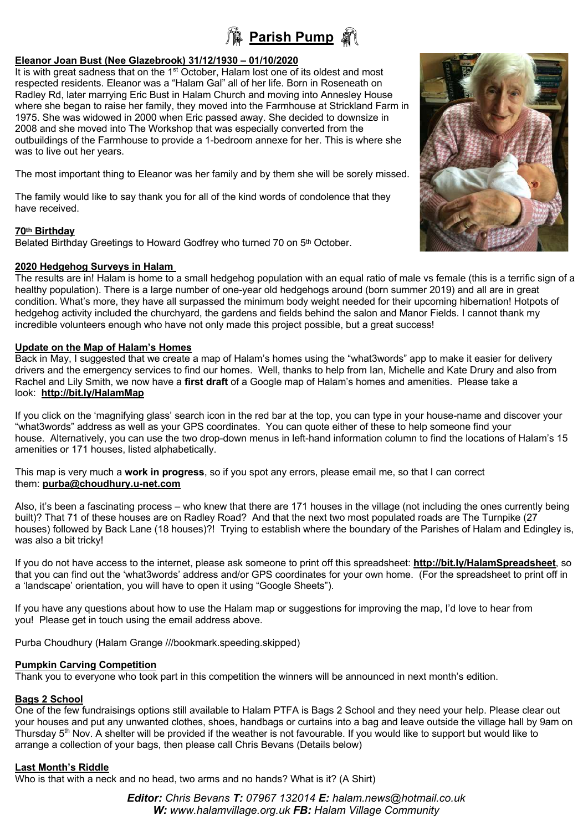## **Parish Pump a**

## **Eleanor Joan Bust (Nee Glazebrook) 31/12/1930 – 01/10/2020**

It is with great sadness that on the  $1<sup>st</sup>$  October, Halam lost one of its oldest and most respected residents. Eleanor was a "Halam Gal" all of her life. Born in Roseneath on Radley Rd, later marrying Eric Bust in Halam Church and moving into Annesley House where she began to raise her family, they moved into the Farmhouse at Strickland Farm in 1975. She was widowed in 2000 when Eric passed away. She decided to downsize in 2008 and she moved into The Workshop that was especially converted from the outbuildings of the Farmhouse to provide a 1-bedroom annexe for her. This is where she was to live out her years.

The most important thing to Eleanor was her family and by them she will be sorely missed.

The family would like to say thank you for all of the kind words of condolence that they have received.

## **70th Birthday**

Belated Birthday Greetings to Howard Godfrey who turned 70 on 5<sup>th</sup> October.

## **2020 Hedgehog Surveys in Halam**

The results are in! Halam is home to a small hedgehog population with an equal ratio of male vs female (this is a terrific sign of a healthy population). There is a large number of one-year old hedgehogs around (born summer 2019) and all are in great condition. What's more, they have all surpassed the minimum body weight needed for their upcoming hibernation! Hotpots of hedgehog activity included the churchyard, the gardens and fields behind the salon and Manor Fields. I cannot thank my incredible volunteers enough who have not only made this project possible, but a great success!

## **Update on the Map of Halam's Homes**

Back in May, I suggested that we create a map of Halam's homes using the "what3words" app to make it easier for delivery drivers and the emergency services to find our homes. Well, thanks to help from Ian, Michelle and Kate Drury and also from Rachel and Lily Smith, we now have a **first draft** of a Google map of Halam's homes and amenities. Please take a look: **http://bit.ly/HalamMap**

If you click on the 'magnifying glass' search icon in the red bar at the top, you can type in your house-name and discover your "what3words" address as well as your GPS coordinates. You can quote either of these to help someone find your house. Alternatively, you can use the two drop-down menus in left-hand information column to find the locations of Halam's 15 amenities or 171 houses, listed alphabetically.

This map is very much a **work in progress**, so if you spot any errors, please email me, so that I can correct them: **purba@choudhury.u-net.com**

Also, it's been a fascinating process – who knew that there are 171 houses in the village (not including the ones currently being built)? That 71 of these houses are on Radley Road? And that the next two most populated roads are The Turnpike (27 houses) followed by Back Lane (18 houses)?! Trying to establish where the boundary of the Parishes of Halam and Edingley is, was also a bit tricky!

If you do not have access to the internet, please ask someone to print off this spreadsheet: **http://bit.ly/HalamSpreadsheet**, so that you can find out the 'what3words' address and/or GPS coordinates for your own home. (For the spreadsheet to print off in a 'landscape' orientation, you will have to open it using "Google Sheets").

If you have any questions about how to use the Halam map or suggestions for improving the map, I'd love to hear from you! Please get in touch using the email address above.

Purba Choudhury (Halam Grange ///bookmark.speeding.skipped)

## **Pumpkin Carving Competition**

Thank you to everyone who took part in this competition the winners will be announced in next month's edition.

## **Bags 2 School**

One of the few fundraisings options still available to Halam PTFA is Bags 2 School and they need your help. Please clear out your houses and put any unwanted clothes, shoes, handbags or curtains into a bag and leave outside the village hall by 9am on Thursday 5<sup>th</sup> Nov. A shelter will be provided if the weather is not favourable. If you would like to support but would like to arrange a collection of your bags, then please call Chris Bevans (Details below)

## **Last Month's Riddle**

Who is that with a neck and no head, two arms and no hands? What is it? (A Shirt)

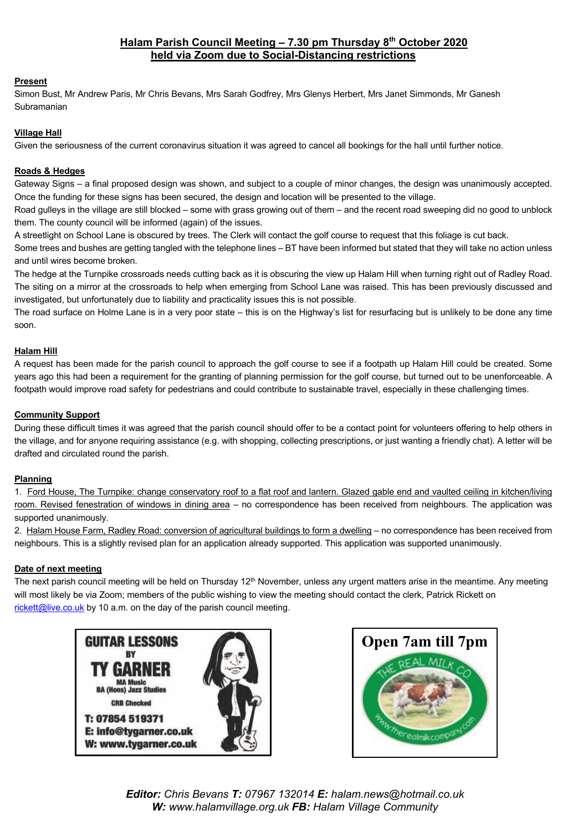## **Halam Parish Council Meeting – 7.30 pm Thursday 8th October 2020 held via Zoom due to Social-Distancing restrictions**

## **Present**

Simon Bust, Mr Andrew Paris, Mr Chris Bevans, Mrs Sarah Godfrey, Mrs Glenys Herbert, Mrs Janet Simmonds, Mr Ganesh Subramanian

## **Village Hall**

Given the seriousness of the current coronavirus situation it was agreed to cancel all bookings for the hall until further notice.

## **Roads & Hedges**

Gateway Signs – a final proposed design was shown, and subject to a couple of minor changes, the design was unanimously accepted. Once the funding for these signs has been secured, the design and location will be presented to the village.

Road gulleys in the village are still blocked – some with grass growing out of them – and the recent road sweeping did no good to unblock them. The county council will be informed (again) of the issues.

A streetlight on School Lane is obscured by trees. The Clerk will contact the golf course to request that this foliage is cut back.

Some trees and bushes are getting tangled with the telephone lines – BT have been informed but stated that they will take no action unless and until wires become broken.

The hedge at the Turnpike crossroads needs cutting back as it is obscuring the view up Halam Hill when turning right out of Radley Road. The siting on a mirror at the crossroads to help when emerging from School Lane was raised. This has been previously discussed and investigated, but unfortunately due to liability and practicality issues this is not possible.

The road surface on Holme Lane is in a very poor state – this is on the Highway's list for resurfacing but is unlikely to be done any time soon.

## **Halam Hill**

A request has been made for the parish council to approach the golf course to see if a footpath up Halam Hill could be created. Some years ago this had been a requirement for the granting of planning permission for the golf course, but turned out to be unenforceable. A footpath would improve road safety for pedestrians and could contribute to sustainable travel, especially in these challenging times.

## **Community Support**

During these difficult times it was agreed that the parish council should offer to be a contact point for volunteers offering to help others in the village, and for anyone requiring assistance (e.g. with shopping, collecting prescriptions, or just wanting a friendly chat). A letter will be drafted and circulated round the parish.

## **Planning**

1. Ford House, The Turnpike: change conservatory roof to a flat roof and lantern. Glazed gable end and vaulted ceiling in kitchen/living room. Revised fenestration of windows in dining area – no correspondence has been received from neighbours. The application was supported unanimously.

2. Halam House Farm, Radley Road: conversion of agricultural buildings to form a dwelling – no correspondence has been received from neighbours. This is a slightly revised plan for an application already supported. This application was supported unanimously.

## **Date of next meeting**

The next parish council meeting will be held on Thursday 12<sup>th</sup> November, unless any urgent matters arise in the meantime. Any meeting will most likely be via Zoom; members of the public wishing to view the meeting should contact the clerk, Patrick Rickett on rickett@live.co.uk by 10 a.m. on the day of the parish council meeting.



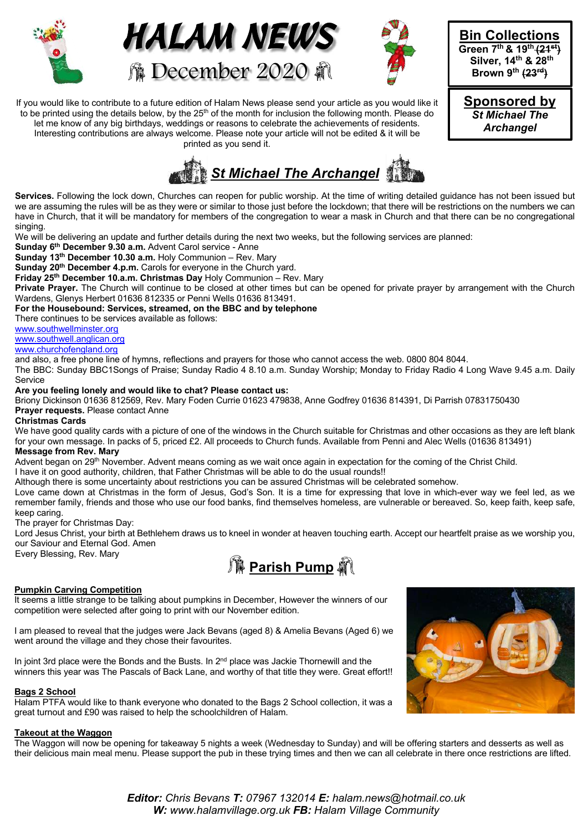





**Bin Collections Green 7th & 19th (21st) Silver, 14th & 28th Brown 9th (23rd)**

**Sponsored by**  *St Michael The Archangel*

If you would like to contribute to a future edition of Halam News please send your article as you would like it to be printed using the details below, by the 25<sup>th</sup> of the month for inclusion the following month. Please do let me know of any big birthdays, weddings or reasons to celebrate the achievements of residents. Interesting contributions are always welcome. Please note your article will not be edited & it will be printed as you send it.



**Services.** Following the lock down, Churches can reopen for public worship. At the time of writing detailed guidance has not been issued but we are assuming the rules will be as they were or similar to those just before the lockdown; that there will be restrictions on the numbers we can have in Church, that it will be mandatory for members of the congregation to wear a mask in Church and that there can be no congregational singing.

We will be delivering an update and further details during the next two weeks, but the following services are planned:

**Sunday 6th December 9.30 a.m.** Advent Carol service - Anne

**Sunday 13th December 10.30 a.m.** Holy Communion – Rev. Mary

**Sunday 20th December 4.p.m.** Carols for everyone in the Church yard.

**Friday 25th December 10.a.m. Christmas Day** Holy Communion – Rev. Mary

Private Prayer. The Church will continue to be closed at other times but can be opened for private prayer by arrangement with the Church Wardens, Glenys Herbert 01636 812335 or Penni Wells 01636 813491.

**For the Housebound: Services, streamed, on the BBC and by telephone**

There continues to be services available as follows:

www.southwellminster.org

## www.southwell.anglican.org

www.churchofengland.org

and also, a free phone line of hymns, reflections and prayers for those who cannot access the web. 0800 804 8044.

The BBC: Sunday BBC1Songs of Praise; Sunday Radio 4 8.10 a.m. Sunday Worship; Monday to Friday Radio 4 Long Wave 9.45 a.m. Daily **Service** 

## **Are you feeling lonely and would like to chat? Please contact us:**

Briony Dickinson 01636 812569, Rev. Mary Foden Currie 01623 479838, Anne Godfrey 01636 814391, Di Parrish 07831750430 **Prayer requests.** Please contact Anne

#### **Christmas Cards**

We have good quality cards with a picture of one of the windows in the Church suitable for Christmas and other occasions as they are left blank for your own message. In packs of 5, priced £2. All proceeds to Church funds. Available from Penni and Alec Wells (01636 813491) **Message from Rev. Mary**

Advent began on 29<sup>th</sup> November. Advent means coming as we wait once again in expectation for the coming of the Christ Child.

I have it on good authority, children, that Father Christmas will be able to do the usual rounds!!

Although there is some uncertainty about restrictions you can be assured Christmas will be celebrated somehow.

Love came down at Christmas in the form of Jesus, God's Son. It is a time for expressing that love in which-ever way we feel led, as we remember family, friends and those who use our food banks, find themselves homeless, are vulnerable or bereaved. So, keep faith, keep safe, keep caring.

The prayer for Christmas Day:

Lord Jesus Christ, your birth at Bethlehem draws us to kneel in wonder at heaven touching earth. Accept our heartfelt praise as we worship you, our Saviour and Eternal God. Amen Every Blessing, Rev. Mary



## **Pumpkin Carving Competition**

It seems a little strange to be talking about pumpkins in December, However the winners of our competition were selected after going to print with our November edition.

I am pleased to reveal that the judges were Jack Bevans (aged 8) & Amelia Bevans (Aged 6) we went around the village and they chose their favourites.

In joint 3rd place were the Bonds and the Busts. In  $2<sup>nd</sup>$  place was Jackie Thornewill and the winners this year was The Pascals of Back Lane, and worthy of that title they were. Great effort!!

## **Bags 2 School**

Halam PTFA would like to thank everyone who donated to the Bags 2 School collection, it was a great turnout and £90 was raised to help the schoolchildren of Halam.

## **Takeout at the Waggon**

The Waggon will now be opening for takeaway 5 nights a week (Wednesday to Sunday) and will be offering starters and desserts as well as their delicious main meal menu. Please support the pub in these trying times and then we can all celebrate in there once restrictions are lifted.